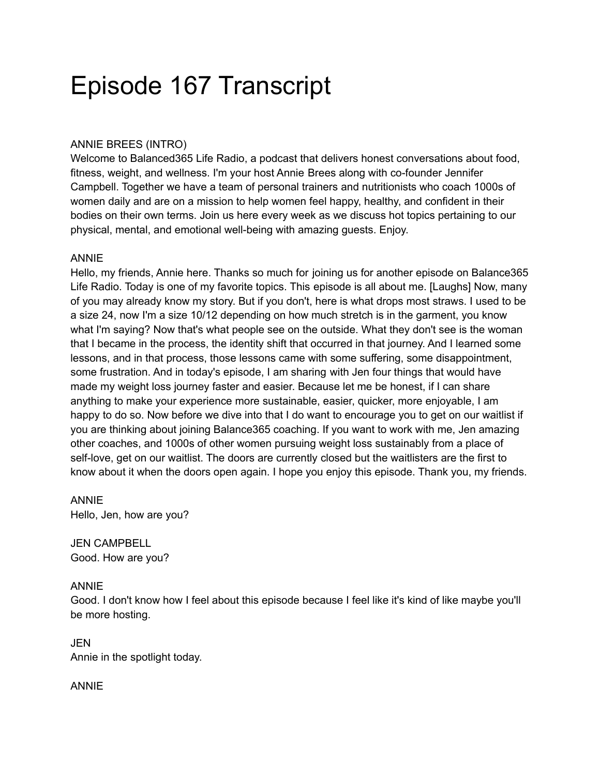# Episode 167 Transcript

## ANNIE BREES (INTRO)

Welcome to Balanced365 Life Radio, a podcast that delivers honest conversations about food, fitness, weight, and wellness. I'm your host Annie Brees along with co-founder Jennifer Campbell. Together we have a team of personal trainers and nutritionists who coach 1000s of women daily and are on a mission to help women feel happy, healthy, and confident in their bodies on their own terms. Join us here every week as we discuss hot topics pertaining to our physical, mental, and emotional well-being with amazing guests. Enjoy.

#### ANNIE

Hello, my friends, Annie here. Thanks so much for joining us for another episode on Balance365 Life Radio. Today is one of my favorite topics. This episode is all about me. [Laughs] Now, many of you may already know my story. But if you don't, here is what drops most straws. I used to be a size 24, now I'm a size 10/12 depending on how much stretch is in the garment, you know what I'm saying? Now that's what people see on the outside. What they don't see is the woman that I became in the process, the identity shift that occurred in that journey. And I learned some lessons, and in that process, those lessons came with some suffering, some disappointment, some frustration. And in today's episode, I am sharing with Jen four things that would have made my weight loss journey faster and easier. Because let me be honest, if I can share anything to make your experience more sustainable, easier, quicker, more enjoyable, I am happy to do so. Now before we dive into that I do want to encourage you to get on our waitlist if you are thinking about joining Balance365 coaching. If you want to work with me, Jen amazing other coaches, and 1000s of other women pursuing weight loss sustainably from a place of self-love, get on our waitlist. The doors are currently closed but the waitlisters are the first to know about it when the doors open again. I hope you enjoy this episode. Thank you, my friends.

#### ANNIE Hello, Jen, how are you?

JEN CAMPBELL Good. How are you?

## ANNIE

Good. I don't know how I feel about this episode because I feel like it's kind of like maybe you'll be more hosting.

JEN Annie in the spotlight today.

## ANNIE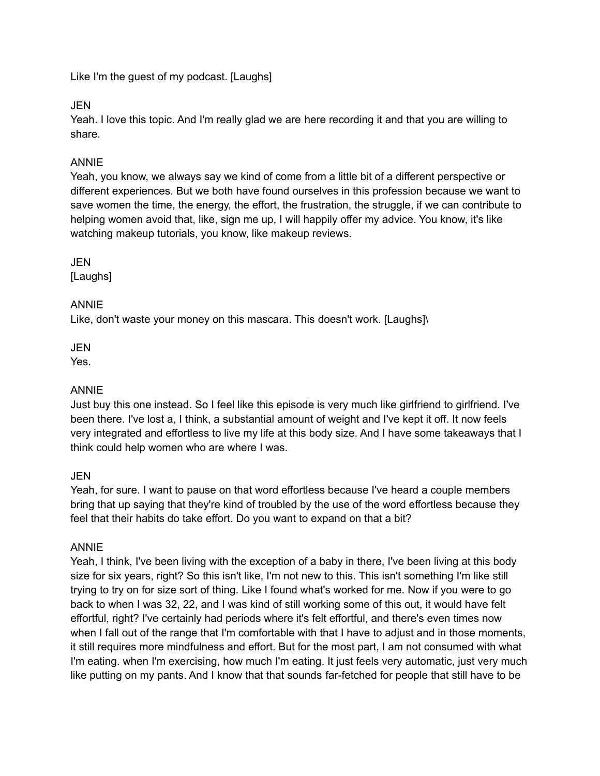Like I'm the guest of my podcast. [Laughs]

JEN

Yeah. I love this topic. And I'm really glad we are here recording it and that you are willing to share.

## ANNIE

Yeah, you know, we always say we kind of come from a little bit of a different perspective or different experiences. But we both have found ourselves in this profession because we want to save women the time, the energy, the effort, the frustration, the struggle, if we can contribute to helping women avoid that, like, sign me up, I will happily offer my advice. You know, it's like watching makeup tutorials, you know, like makeup reviews.

JEN

[Laughs]

## ANNIE

Like, don't waste your money on this mascara. This doesn't work. [Laughs]\

JEN

Yes.

## ANNIE

Just buy this one instead. So I feel like this episode is very much like girlfriend to girlfriend. I've been there. I've lost a, I think, a substantial amount of weight and I've kept it off. It now feels very integrated and effortless to live my life at this body size. And I have some takeaways that I think could help women who are where I was.

## JEN

Yeah, for sure. I want to pause on that word effortless because I've heard a couple members bring that up saying that they're kind of troubled by the use of the word effortless because they feel that their habits do take effort. Do you want to expand on that a bit?

## ANNIE

Yeah, I think, I've been living with the exception of a baby in there, I've been living at this body size for six years, right? So this isn't like, I'm not new to this. This isn't something I'm like still trying to try on for size sort of thing. Like I found what's worked for me. Now if you were to go back to when I was 32, 22, and I was kind of still working some of this out, it would have felt effortful, right? I've certainly had periods where it's felt effortful, and there's even times now when I fall out of the range that I'm comfortable with that I have to adjust and in those moments, it still requires more mindfulness and effort. But for the most part, I am not consumed with what I'm eating. when I'm exercising, how much I'm eating. It just feels very automatic, just very much like putting on my pants. And I know that that sounds far-fetched for people that still have to be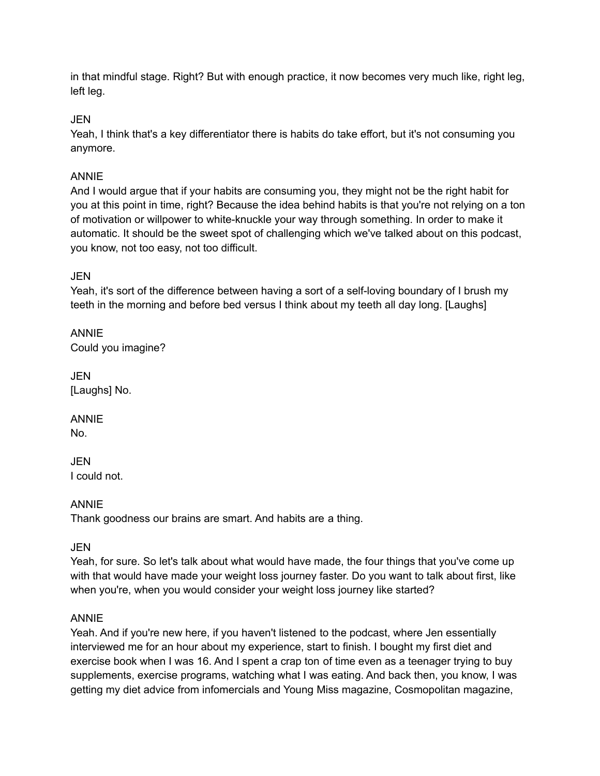in that mindful stage. Right? But with enough practice, it now becomes very much like, right leg, left leg.

JEN

Yeah, I think that's a key differentiator there is habits do take effort, but it's not consuming you anymore.

## ANNIE

And I would argue that if your habits are consuming you, they might not be the right habit for you at this point in time, right? Because the idea behind habits is that you're not relying on a ton of motivation or willpower to white-knuckle your way through something. In order to make it automatic. It should be the sweet spot of challenging which we've talked about on this podcast, you know, not too easy, not too difficult.

**JEN** 

Yeah, it's sort of the difference between having a sort of a self-loving boundary of I brush my teeth in the morning and before bed versus I think about my teeth all day long. [Laughs]

ANNIE Could you imagine?

JEN [Laughs] No.

ANNIE

No.

JEN I could not.

ANNIE

Thank goodness our brains are smart. And habits are a thing.

JEN

Yeah, for sure. So let's talk about what would have made, the four things that you've come up with that would have made your weight loss journey faster. Do you want to talk about first, like when you're, when you would consider your weight loss journey like started?

## ANNIE

Yeah. And if you're new here, if you haven't listened to the podcast, where Jen essentially interviewed me for an hour about my experience, start to finish. I bought my first diet and exercise book when I was 16. And I spent a crap ton of time even as a teenager trying to buy supplements, exercise programs, watching what I was eating. And back then, you know, I was getting my diet advice from infomercials and Young Miss magazine, Cosmopolitan magazine,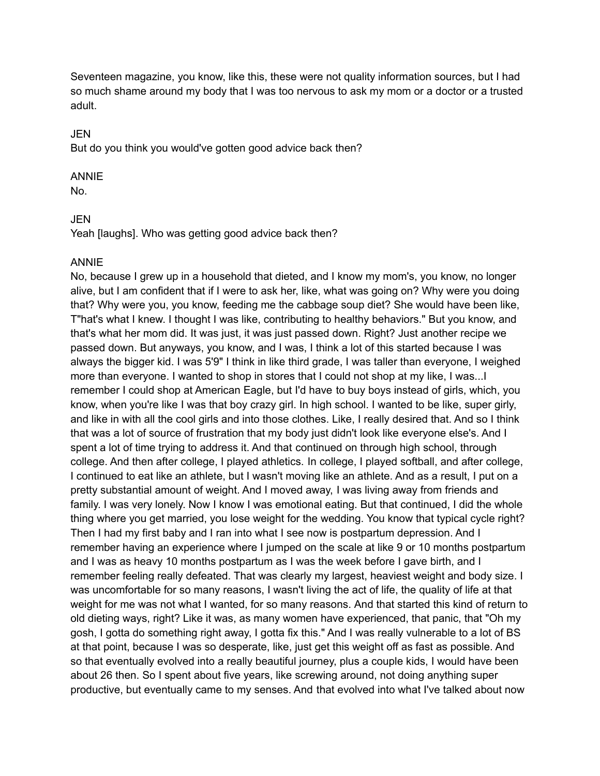Seventeen magazine, you know, like this, these were not quality information sources, but I had so much shame around my body that I was too nervous to ask my mom or a doctor or a trusted adult.

#### **JEN**

But do you think you would've gotten good advice back then?

#### ANNIE

No.

#### JEN

Yeah [laughs]. Who was getting good advice back then?

#### ANNIE

No, because I grew up in a household that dieted, and I know my mom's, you know, no longer alive, but I am confident that if I were to ask her, like, what was going on? Why were you doing that? Why were you, you know, feeding me the cabbage soup diet? She would have been like, T"hat's what I knew. I thought I was like, contributing to healthy behaviors." But you know, and that's what her mom did. It was just, it was just passed down. Right? Just another recipe we passed down. But anyways, you know, and I was, I think a lot of this started because I was always the bigger kid. I was 5'9" I think in like third grade, I was taller than everyone, I weighed more than everyone. I wanted to shop in stores that I could not shop at my like, I was...I remember I could shop at American Eagle, but I'd have to buy boys instead of girls, which, you know, when you're like I was that boy crazy girl. In high school. I wanted to be like, super girly, and like in with all the cool girls and into those clothes. Like, I really desired that. And so I think that was a lot of source of frustration that my body just didn't look like everyone else's. And I spent a lot of time trying to address it. And that continued on through high school, through college. And then after college, I played athletics. In college, I played softball, and after college, I continued to eat like an athlete, but I wasn't moving like an athlete. And as a result, I put on a pretty substantial amount of weight. And I moved away, I was living away from friends and family. I was very lonely. Now I know I was emotional eating. But that continued, I did the whole thing where you get married, you lose weight for the wedding. You know that typical cycle right? Then I had my first baby and I ran into what I see now is postpartum depression. And I remember having an experience where I jumped on the scale at like 9 or 10 months postpartum and I was as heavy 10 months postpartum as I was the week before I gave birth, and I remember feeling really defeated. That was clearly my largest, heaviest weight and body size. I was uncomfortable for so many reasons, I wasn't living the act of life, the quality of life at that weight for me was not what I wanted, for so many reasons. And that started this kind of return to old dieting ways, right? Like it was, as many women have experienced, that panic, that "Oh my gosh, I gotta do something right away, I gotta fix this." And I was really vulnerable to a lot of BS at that point, because I was so desperate, like, just get this weight off as fast as possible. And so that eventually evolved into a really beautiful journey, plus a couple kids, I would have been about 26 then. So I spent about five years, like screwing around, not doing anything super productive, but eventually came to my senses. And that evolved into what I've talked about now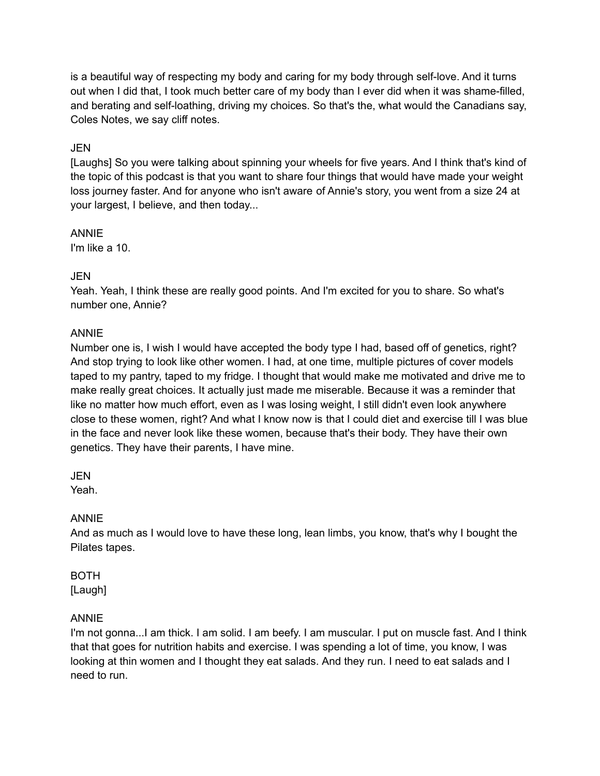is a beautiful way of respecting my body and caring for my body through self-love. And it turns out when I did that, I took much better care of my body than I ever did when it was shame-filled, and berating and self-loathing, driving my choices. So that's the, what would the Canadians say, Coles Notes, we say cliff notes.

#### JEN

[Laughs] So you were talking about spinning your wheels for five years. And I think that's kind of the topic of this podcast is that you want to share four things that would have made your weight loss journey faster. And for anyone who isn't aware of Annie's story, you went from a size 24 at your largest, I believe, and then today...

ANNIE I'm like a 10.

#### JEN

Yeah. Yeah, I think these are really good points. And I'm excited for you to share. So what's number one, Annie?

#### ANNIE

Number one is, I wish I would have accepted the body type I had, based off of genetics, right? And stop trying to look like other women. I had, at one time, multiple pictures of cover models taped to my pantry, taped to my fridge. I thought that would make me motivated and drive me to make really great choices. It actually just made me miserable. Because it was a reminder that like no matter how much effort, even as I was losing weight, I still didn't even look anywhere close to these women, right? And what I know now is that I could diet and exercise till I was blue in the face and never look like these women, because that's their body. They have their own genetics. They have their parents, I have mine.

JEN

Yeah.

## ANNIE

And as much as I would love to have these long, lean limbs, you know, that's why I bought the Pilates tapes.

## BOTH

[Laugh]

## ANNIE

I'm not gonna...I am thick. I am solid. I am beefy. I am muscular. I put on muscle fast. And I think that that goes for nutrition habits and exercise. I was spending a lot of time, you know, I was looking at thin women and I thought they eat salads. And they run. I need to eat salads and I need to run.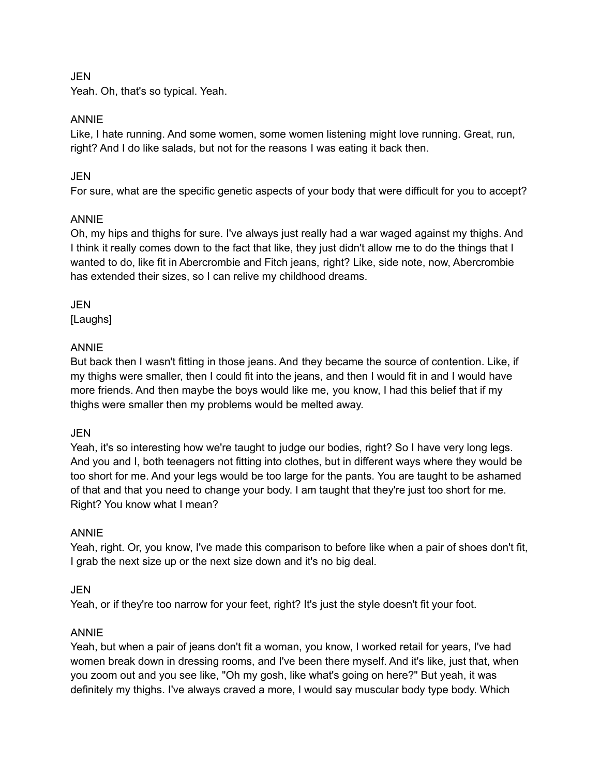JEN

Yeah. Oh, that's so typical. Yeah.

## ANNIE

Like, I hate running. And some women, some women listening might love running. Great, run, right? And I do like salads, but not for the reasons I was eating it back then.

## JEN

For sure, what are the specific genetic aspects of your body that were difficult for you to accept?

## ANNIE

Oh, my hips and thighs for sure. I've always just really had a war waged against my thighs. And I think it really comes down to the fact that like, they just didn't allow me to do the things that I wanted to do, like fit in Abercrombie and Fitch jeans, right? Like, side note, now, Abercrombie has extended their sizes, so I can relive my childhood dreams.

JEN [Laughs]

## ANNIE

But back then I wasn't fitting in those jeans. And they became the source of contention. Like, if my thighs were smaller, then I could fit into the jeans, and then I would fit in and I would have more friends. And then maybe the boys would like me, you know, I had this belief that if my thighs were smaller then my problems would be melted away.

## JEN

Yeah, it's so interesting how we're taught to judge our bodies, right? So I have very long legs. And you and I, both teenagers not fitting into clothes, but in different ways where they would be too short for me. And your legs would be too large for the pants. You are taught to be ashamed of that and that you need to change your body. I am taught that they're just too short for me. Right? You know what I mean?

## ANNIE

Yeah, right. Or, you know, I've made this comparison to before like when a pair of shoes don't fit, I grab the next size up or the next size down and it's no big deal.

## JEN

Yeah, or if they're too narrow for your feet, right? It's just the style doesn't fit your foot.

## ANNIE

Yeah, but when a pair of jeans don't fit a woman, you know, I worked retail for years, I've had women break down in dressing rooms, and I've been there myself. And it's like, just that, when you zoom out and you see like, "Oh my gosh, like what's going on here?" But yeah, it was definitely my thighs. I've always craved a more, I would say muscular body type body. Which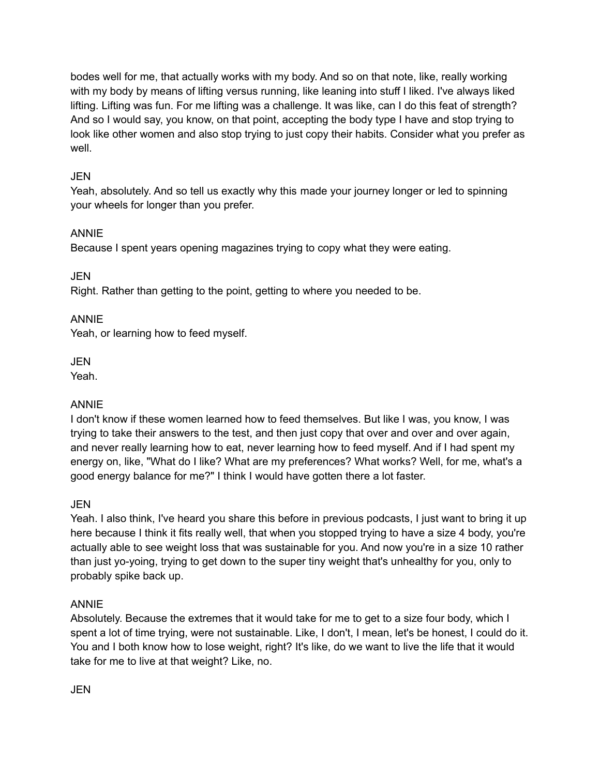bodes well for me, that actually works with my body. And so on that note, like, really working with my body by means of lifting versus running, like leaning into stuff I liked. I've always liked lifting. Lifting was fun. For me lifting was a challenge. It was like, can I do this feat of strength? And so I would say, you know, on that point, accepting the body type I have and stop trying to look like other women and also stop trying to just copy their habits. Consider what you prefer as well.

## JEN

Yeah, absolutely. And so tell us exactly why this made your journey longer or led to spinning your wheels for longer than you prefer.

## ANNIE

Because I spent years opening magazines trying to copy what they were eating.

**JEN** 

Right. Rather than getting to the point, getting to where you needed to be.

## ANNIE

Yeah, or learning how to feed myself.

JEN

Yeah.

## ANNIE

I don't know if these women learned how to feed themselves. But like I was, you know, I was trying to take their answers to the test, and then just copy that over and over and over again, and never really learning how to eat, never learning how to feed myself. And if I had spent my energy on, like, "What do I like? What are my preferences? What works? Well, for me, what's a good energy balance for me?" I think I would have gotten there a lot faster.

## JEN

Yeah. I also think, I've heard you share this before in previous podcasts, I just want to bring it up here because I think it fits really well, that when you stopped trying to have a size 4 body, you're actually able to see weight loss that was sustainable for you. And now you're in a size 10 rather than just yo-yoing, trying to get down to the super tiny weight that's unhealthy for you, only to probably spike back up.

## ANNIE

Absolutely. Because the extremes that it would take for me to get to a size four body, which I spent a lot of time trying, were not sustainable. Like, I don't, I mean, let's be honest, I could do it. You and I both know how to lose weight, right? It's like, do we want to live the life that it would take for me to live at that weight? Like, no.

JEN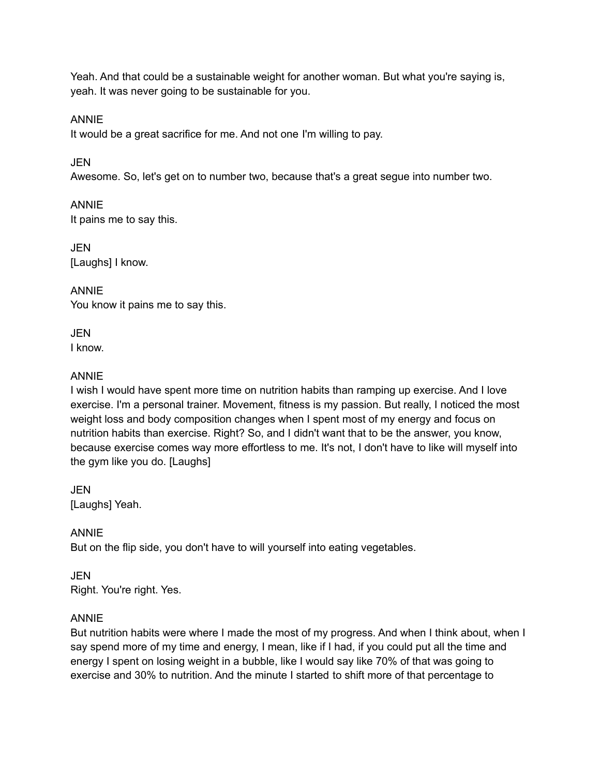Yeah. And that could be a sustainable weight for another woman. But what you're saying is, yeah. It was never going to be sustainable for you.

ANNIE

It would be a great sacrifice for me. And not one I'm willing to pay.

JEN

Awesome. So, let's get on to number two, because that's a great segue into number two.

ANNIE It pains me to say this.

**JEN** [Laughs] I know.

ANNIE You know it pains me to say this.

JEN I know.

#### ANNIE

I wish I would have spent more time on nutrition habits than ramping up exercise. And I love exercise. I'm a personal trainer. Movement, fitness is my passion. But really, I noticed the most weight loss and body composition changes when I spent most of my energy and focus on nutrition habits than exercise. Right? So, and I didn't want that to be the answer, you know, because exercise comes way more effortless to me. It's not, I don't have to like will myself into the gym like you do. [Laughs]

JEN [Laughs] Yeah.

## ANNIE

But on the flip side, you don't have to will yourself into eating vegetables.

JEN Right. You're right. Yes.

#### ANNIE

But nutrition habits were where I made the most of my progress. And when I think about, when I say spend more of my time and energy, I mean, like if I had, if you could put all the time and energy I spent on losing weight in a bubble, like I would say like 70% of that was going to exercise and 30% to nutrition. And the minute I started to shift more of that percentage to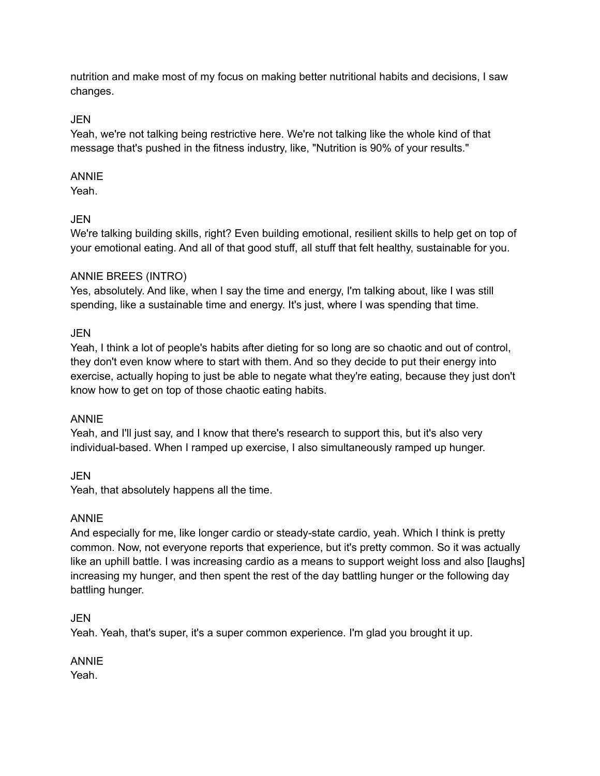nutrition and make most of my focus on making better nutritional habits and decisions, I saw changes.

## JEN

Yeah, we're not talking being restrictive here. We're not talking like the whole kind of that message that's pushed in the fitness industry, like, "Nutrition is 90% of your results."

## ANNIE

Yeah.

## JEN

We're talking building skills, right? Even building emotional, resilient skills to help get on top of your emotional eating. And all of that good stuff, all stuff that felt healthy, sustainable for you.

## ANNIE BREES (INTRO)

Yes, absolutely. And like, when I say the time and energy, I'm talking about, like I was still spending, like a sustainable time and energy. It's just, where I was spending that time.

## JEN

Yeah, I think a lot of people's habits after dieting for so long are so chaotic and out of control, they don't even know where to start with them. And so they decide to put their energy into exercise, actually hoping to just be able to negate what they're eating, because they just don't know how to get on top of those chaotic eating habits.

## ANNIE

Yeah, and I'll just say, and I know that there's research to support this, but it's also very individual-based. When I ramped up exercise, I also simultaneously ramped up hunger.

JEN

Yeah, that absolutely happens all the time.

## ANNIE

And especially for me, like longer cardio or steady-state cardio, yeah. Which I think is pretty common. Now, not everyone reports that experience, but it's pretty common. So it was actually like an uphill battle. I was increasing cardio as a means to support weight loss and also [laughs] increasing my hunger, and then spent the rest of the day battling hunger or the following day battling hunger.

## JEN

Yeah. Yeah, that's super, it's a super common experience. I'm glad you brought it up.

ANNIE Yeah.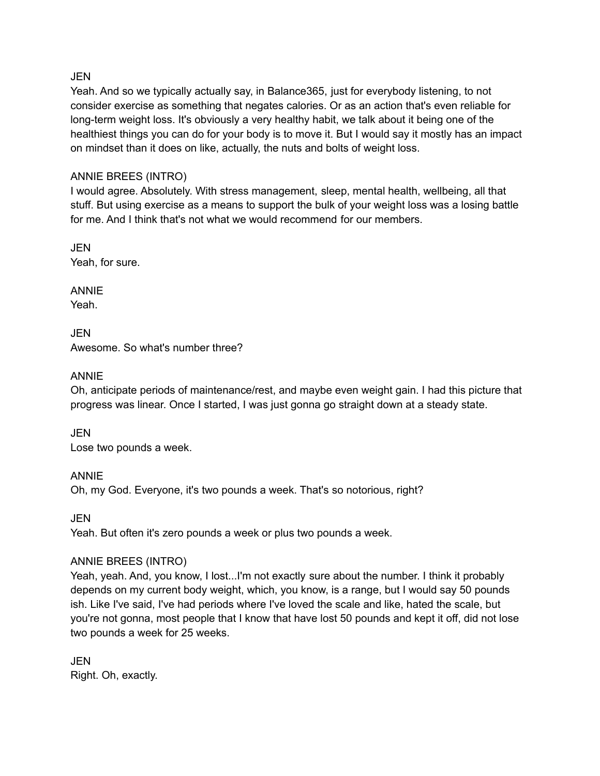#### JEN

Yeah. And so we typically actually say, in Balance365, just for everybody listening, to not consider exercise as something that negates calories. Or as an action that's even reliable for long-term weight loss. It's obviously a very healthy habit, we talk about it being one of the healthiest things you can do for your body is to move it. But I would say it mostly has an impact on mindset than it does on like, actually, the nuts and bolts of weight loss.

#### ANNIE BREES (INTRO)

I would agree. Absolutely. With stress management, sleep, mental health, wellbeing, all that stuff. But using exercise as a means to support the bulk of your weight loss was a losing battle for me. And I think that's not what we would recommend for our members.

**JEN** Yeah, for sure.

ANNIE Yeah.

JEN Awesome. So what's number three?

## ANNIE

Oh, anticipate periods of maintenance/rest, and maybe even weight gain. I had this picture that progress was linear. Once I started, I was just gonna go straight down at a steady state.

JEN Lose two pounds a week.

## ANNIE

Oh, my God. Everyone, it's two pounds a week. That's so notorious, right?

JEN

Yeah. But often it's zero pounds a week or plus two pounds a week.

## ANNIE BREES (INTRO)

Yeah, yeah. And, you know, I lost...I'm not exactly sure about the number. I think it probably depends on my current body weight, which, you know, is a range, but I would say 50 pounds ish. Like I've said, I've had periods where I've loved the scale and like, hated the scale, but you're not gonna, most people that I know that have lost 50 pounds and kept it off, did not lose two pounds a week for 25 weeks.

JEN Right. Oh, exactly.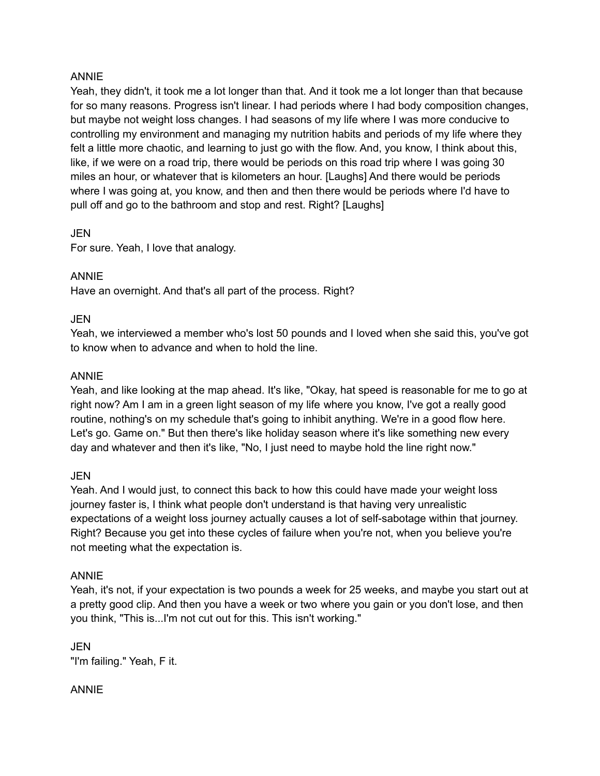#### ANNIE

Yeah, they didn't, it took me a lot longer than that. And it took me a lot longer than that because for so many reasons. Progress isn't linear. I had periods where I had body composition changes, but maybe not weight loss changes. I had seasons of my life where I was more conducive to controlling my environment and managing my nutrition habits and periods of my life where they felt a little more chaotic, and learning to just go with the flow. And, you know, I think about this, like, if we were on a road trip, there would be periods on this road trip where I was going 30 miles an hour, or whatever that is kilometers an hour. [Laughs] And there would be periods where I was going at, you know, and then and then there would be periods where I'd have to pull off and go to the bathroom and stop and rest. Right? [Laughs]

#### JEN

For sure. Yeah, I love that analogy.

#### ANNIE

Have an overnight. And that's all part of the process. Right?

#### **JEN**

Yeah, we interviewed a member who's lost 50 pounds and I loved when she said this, you've got to know when to advance and when to hold the line.

#### ANNIE

Yeah, and like looking at the map ahead. It's like, "Okay, hat speed is reasonable for me to go at right now? Am I am in a green light season of my life where you know, I've got a really good routine, nothing's on my schedule that's going to inhibit anything. We're in a good flow here. Let's go. Game on." But then there's like holiday season where it's like something new every day and whatever and then it's like, "No, I just need to maybe hold the line right now."

#### JEN

Yeah. And I would just, to connect this back to how this could have made your weight loss journey faster is, I think what people don't understand is that having very unrealistic expectations of a weight loss journey actually causes a lot of self-sabotage within that journey. Right? Because you get into these cycles of failure when you're not, when you believe you're not meeting what the expectation is.

#### ANNIE

Yeah, it's not, if your expectation is two pounds a week for 25 weeks, and maybe you start out at a pretty good clip. And then you have a week or two where you gain or you don't lose, and then you think, "This is...I'm not cut out for this. This isn't working."

JEN "I'm failing." Yeah, F it.

#### ANNIE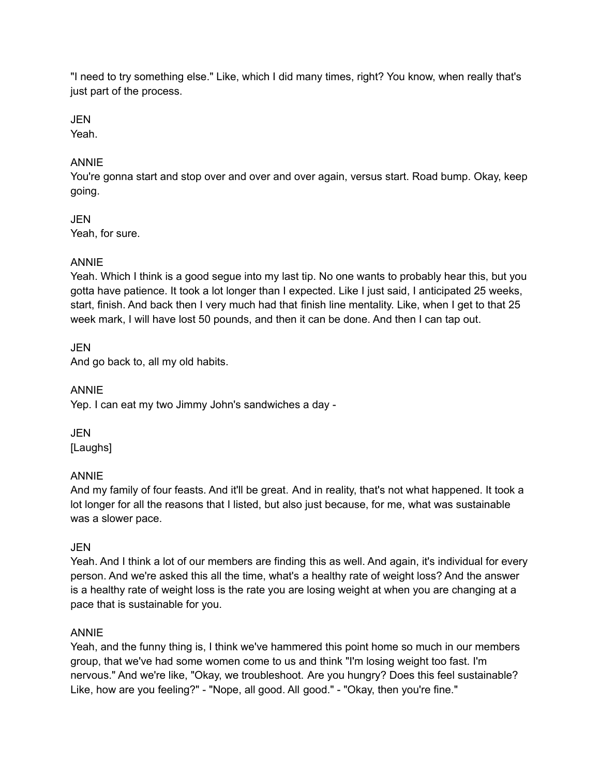"I need to try something else." Like, which I did many times, right? You know, when really that's just part of the process.

## JEN

Yeah.

## ANNIE

You're gonna start and stop over and over and over again, versus start. Road bump. Okay, keep going.

#### JEN Yeah, for sure.

## ANNIE

Yeah. Which I think is a good segue into my last tip. No one wants to probably hear this, but you gotta have patience. It took a lot longer than I expected. Like I just said, I anticipated 25 weeks, start, finish. And back then I very much had that finish line mentality. Like, when I get to that 25 week mark, I will have lost 50 pounds, and then it can be done. And then I can tap out.

JEN

And go back to, all my old habits.

ANNIE Yep. I can eat my two Jimmy John's sandwiches a day -

JEN [Laughs]

## ANNIE

And my family of four feasts. And it'll be great. And in reality, that's not what happened. It took a lot longer for all the reasons that I listed, but also just because, for me, what was sustainable was a slower pace.

## JEN

Yeah. And I think a lot of our members are finding this as well. And again, it's individual for every person. And we're asked this all the time, what's a healthy rate of weight loss? And the answer is a healthy rate of weight loss is the rate you are losing weight at when you are changing at a pace that is sustainable for you.

## ANNIE

Yeah, and the funny thing is, I think we've hammered this point home so much in our members group, that we've had some women come to us and think "I'm losing weight too fast. I'm nervous." And we're like, "Okay, we troubleshoot. Are you hungry? Does this feel sustainable? Like, how are you feeling?" - "Nope, all good. All good." - "Okay, then you're fine."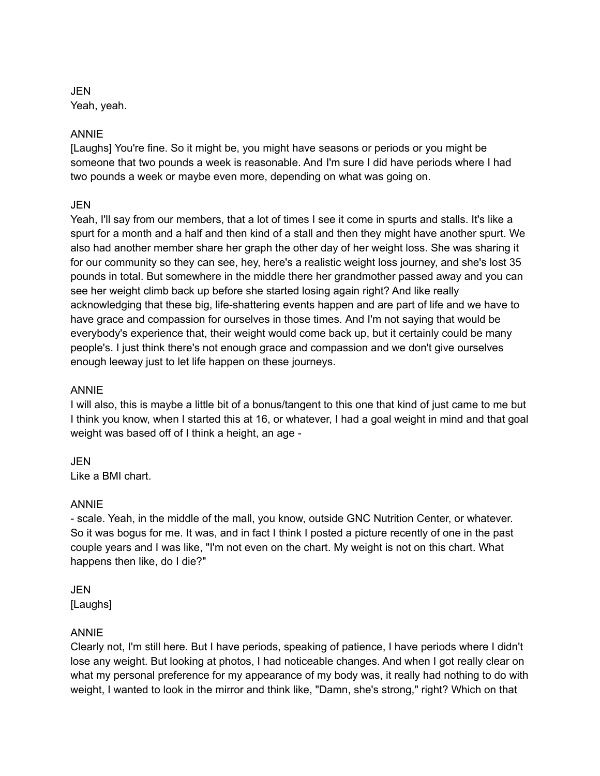JEN Yeah, yeah.

#### ANNIE

[Laughs] You're fine. So it might be, you might have seasons or periods or you might be someone that two pounds a week is reasonable. And I'm sure I did have periods where I had two pounds a week or maybe even more, depending on what was going on.

#### **JEN**

Yeah, I'll say from our members, that a lot of times I see it come in spurts and stalls. It's like a spurt for a month and a half and then kind of a stall and then they might have another spurt. We also had another member share her graph the other day of her weight loss. She was sharing it for our community so they can see, hey, here's a realistic weight loss journey, and she's lost 35 pounds in total. But somewhere in the middle there her grandmother passed away and you can see her weight climb back up before she started losing again right? And like really acknowledging that these big, life-shattering events happen and are part of life and we have to have grace and compassion for ourselves in those times. And I'm not saying that would be everybody's experience that, their weight would come back up, but it certainly could be many people's. I just think there's not enough grace and compassion and we don't give ourselves enough leeway just to let life happen on these journeys.

#### ANNIE

I will also, this is maybe a little bit of a bonus/tangent to this one that kind of just came to me but I think you know, when I started this at 16, or whatever, I had a goal weight in mind and that goal weight was based off of I think a height, an age -

JEN Like a BMI chart.

## ANNIE

- scale. Yeah, in the middle of the mall, you know, outside GNC Nutrition Center, or whatever. So it was bogus for me. It was, and in fact I think I posted a picture recently of one in the past couple years and I was like, "I'm not even on the chart. My weight is not on this chart. What happens then like, do I die?"

#### JEN [Laughs]

## ANNIE

Clearly not, I'm still here. But I have periods, speaking of patience, I have periods where I didn't lose any weight. But looking at photos, I had noticeable changes. And when I got really clear on what my personal preference for my appearance of my body was, it really had nothing to do with weight, I wanted to look in the mirror and think like, "Damn, she's strong," right? Which on that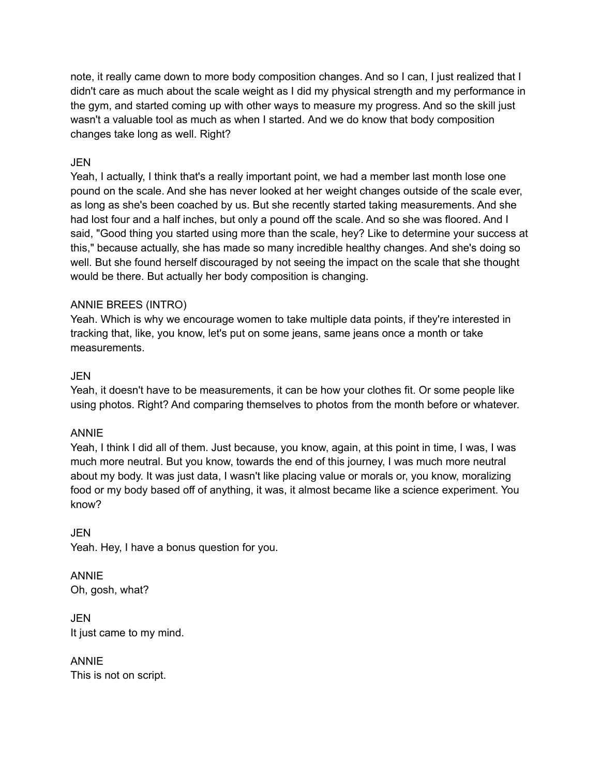note, it really came down to more body composition changes. And so I can, I just realized that I didn't care as much about the scale weight as I did my physical strength and my performance in the gym, and started coming up with other ways to measure my progress. And so the skill just wasn't a valuable tool as much as when I started. And we do know that body composition changes take long as well. Right?

## JEN

Yeah, I actually, I think that's a really important point, we had a member last month lose one pound on the scale. And she has never looked at her weight changes outside of the scale ever, as long as she's been coached by us. But she recently started taking measurements. And she had lost four and a half inches, but only a pound off the scale. And so she was floored. And I said, "Good thing you started using more than the scale, hey? Like to determine your success at this," because actually, she has made so many incredible healthy changes. And she's doing so well. But she found herself discouraged by not seeing the impact on the scale that she thought would be there. But actually her body composition is changing.

## ANNIE BREES (INTRO)

Yeah. Which is why we encourage women to take multiple data points, if they're interested in tracking that, like, you know, let's put on some jeans, same jeans once a month or take measurements.

## JEN

Yeah, it doesn't have to be measurements, it can be how your clothes fit. Or some people like using photos. Right? And comparing themselves to photos from the month before or whatever.

## ANNIE

Yeah, I think I did all of them. Just because, you know, again, at this point in time, I was, I was much more neutral. But you know, towards the end of this journey, I was much more neutral about my body. It was just data, I wasn't like placing value or morals or, you know, moralizing food or my body based off of anything, it was, it almost became like a science experiment. You know?

## **JEN**

Yeah. Hey, I have a bonus question for you.

#### ANNIE Oh, gosh, what?

JEN It just came to my mind.

## ANNIE This is not on script.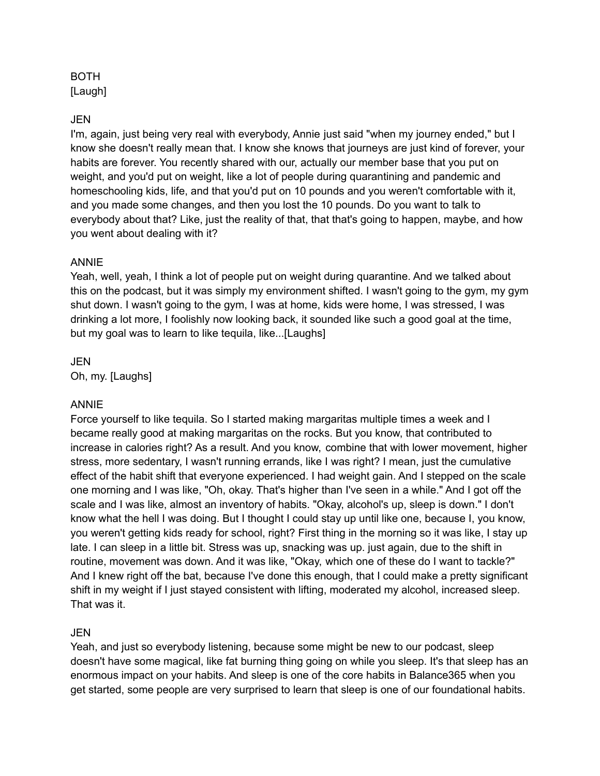#### BOTH [Laugh]

#### JEN

I'm, again, just being very real with everybody, Annie just said "when my journey ended," but I know she doesn't really mean that. I know she knows that journeys are just kind of forever, your habits are forever. You recently shared with our, actually our member base that you put on weight, and you'd put on weight, like a lot of people during quarantining and pandemic and homeschooling kids, life, and that you'd put on 10 pounds and you weren't comfortable with it, and you made some changes, and then you lost the 10 pounds. Do you want to talk to everybody about that? Like, just the reality of that, that that's going to happen, maybe, and how you went about dealing with it?

#### ANNIE

Yeah, well, yeah, I think a lot of people put on weight during quarantine. And we talked about this on the podcast, but it was simply my environment shifted. I wasn't going to the gym, my gym shut down. I wasn't going to the gym, I was at home, kids were home, I was stressed, I was drinking a lot more, I foolishly now looking back, it sounded like such a good goal at the time, but my goal was to learn to like tequila, like...[Laughs]

JEN Oh, my. [Laughs]

#### ANNIE

Force yourself to like tequila. So I started making margaritas multiple times a week and I became really good at making margaritas on the rocks. But you know, that contributed to increase in calories right? As a result. And you know, combine that with lower movement, higher stress, more sedentary, I wasn't running errands, like I was right? I mean, just the cumulative effect of the habit shift that everyone experienced. I had weight gain. And I stepped on the scale one morning and I was like, "Oh, okay. That's higher than I've seen in a while." And I got off the scale and I was like, almost an inventory of habits. "Okay, alcohol's up, sleep is down." I don't know what the hell I was doing. But I thought I could stay up until like one, because I, you know, you weren't getting kids ready for school, right? First thing in the morning so it was like, I stay up late. I can sleep in a little bit. Stress was up, snacking was up. just again, due to the shift in routine, movement was down. And it was like, "Okay, which one of these do I want to tackle?" And I knew right off the bat, because I've done this enough, that I could make a pretty significant shift in my weight if I just stayed consistent with lifting, moderated my alcohol, increased sleep. That was it.

#### JEN

Yeah, and just so everybody listening, because some might be new to our podcast, sleep doesn't have some magical, like fat burning thing going on while you sleep. It's that sleep has an enormous impact on your habits. And sleep is one of the core habits in Balance365 when you get started, some people are very surprised to learn that sleep is one of our foundational habits.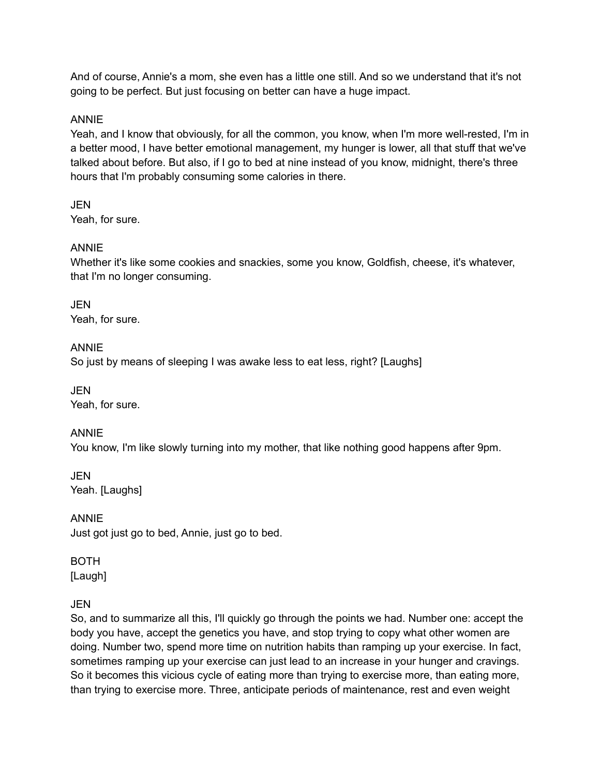And of course, Annie's a mom, she even has a little one still. And so we understand that it's not going to be perfect. But just focusing on better can have a huge impact.

## ANNIE

Yeah, and I know that obviously, for all the common, you know, when I'm more well-rested, I'm in a better mood, I have better emotional management, my hunger is lower, all that stuff that we've talked about before. But also, if I go to bed at nine instead of you know, midnight, there's three hours that I'm probably consuming some calories in there.

**JEN** Yeah, for sure.

## ANNIE

Whether it's like some cookies and snackies, some you know, Goldfish, cheese, it's whatever, that I'm no longer consuming.

JEN Yeah, for sure.

## ANNIE

So just by means of sleeping I was awake less to eat less, right? [Laughs]

JEN Yeah, for sure.

## ANNIE

You know, I'm like slowly turning into my mother, that like nothing good happens after 9pm.

JEN Yeah. [Laughs]

ANNIE Just got just go to bed, Annie, just go to bed.

## BOTH

[Laugh]

## **JEN**

So, and to summarize all this, I'll quickly go through the points we had. Number one: accept the body you have, accept the genetics you have, and stop trying to copy what other women are doing. Number two, spend more time on nutrition habits than ramping up your exercise. In fact, sometimes ramping up your exercise can just lead to an increase in your hunger and cravings. So it becomes this vicious cycle of eating more than trying to exercise more, than eating more, than trying to exercise more. Three, anticipate periods of maintenance, rest and even weight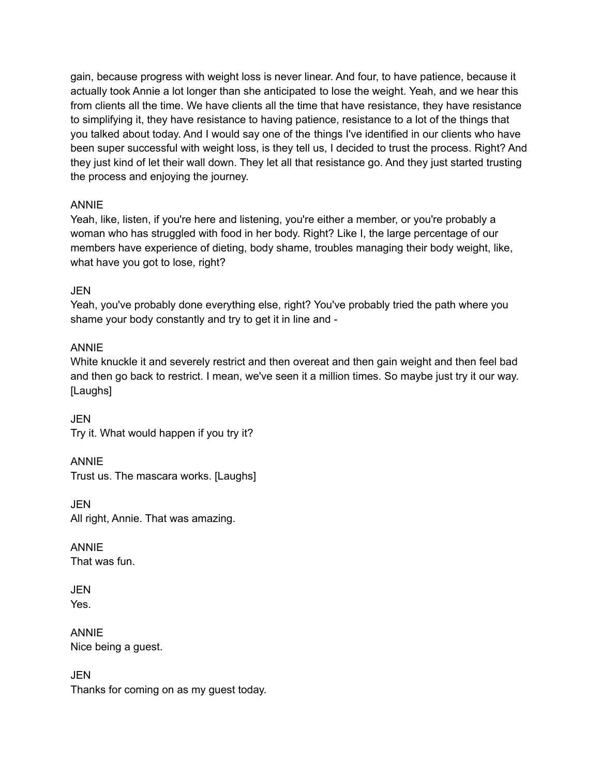gain, because progress with weight loss is never linear. And four, to have patience, because it actually took Annie a lot longer than she anticipated to lose the weight. Yeah, and we hear this from clients all the time. We have clients all the time that have resistance, they have resistance to simplifying it, they have resistance to having patience, resistance to a lot of the things that you talked about today. And I would say one of the things I've identified in our clients who have been super successful with weight loss, is they tell us, I decided to trust the process. Right? And they just kind of let their wall down. They let all that resistance go. And they just started trusting the process and enjoying the journey.

## ANNIE

Yeah, like, listen, if you're here and listening, you're either a member, or you're probably a woman who has struggled with food in her body. Right? Like I, the large percentage of our members have experience of dieting, body shame, troubles managing their body weight, like, what have you got to lose, right?

## JEN

Yeah, you've probably done everything else, right? You've probably tried the path where you shame your body constantly and try to get it in line and -

## ANNIE

White knuckle it and severely restrict and then overeat and then gain weight and then feel bad and then go back to restrict. I mean, we've seen it a million times. So maybe just try it our way. [Laughs]

JEN Try it. What would happen if you try it?

ANNIE Trust us. The mascara works. [Laughs]

JEN All right, Annie. That was amazing.

ANNIE That was fun.

JEN Yes.

ANNIE Nice being a guest.

**JEN** Thanks for coming on as my guest today.